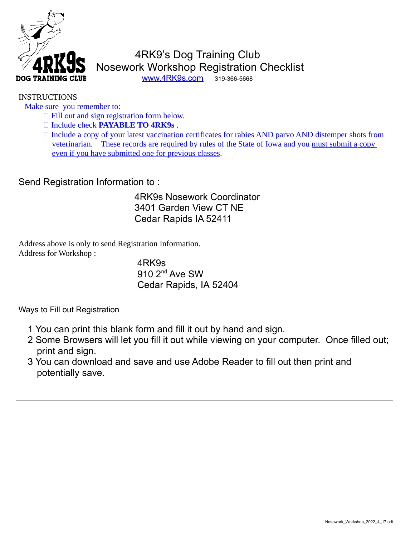

## 4RK9's Dog Training Club Nosework Workshop Registration Checklist [www.4RK9s.com](http://www.4RK9s.com/) 319-366-5668

## **INSTRUCTIONS**

Make sure you remember to:

- $\Box$  Fill out and sign registration form below.
- Include check **PAYABLE TO 4RK9s** .

 $\Box$  Include a copy of your latest vaccination certificates for rabies AND parvo AND distemper shots from veterinarian. These records are required by rules of the State of Iowa and you must submit a copy even if you have submitted one for previous classes.

Send Registration Information to :

## 4RK9s Nosework Coordinator 3401 Garden View CT NE Cedar Rapids IA 52411

Address above is only to send Registration Information. Address for Workshop :

> 4RK9s 910 2<sup>nd</sup> Ave SW Cedar Rapids, IA 52404

Ways to Fill out Registration

- 1 You can print this blank form and fill it out by hand and sign.
- 2 Some Browsers will let you fill it out while viewing on your computer. Once filled out; print and sign.
- 3 You can download and save and use Adobe Reader to fill out then print and potentially save.